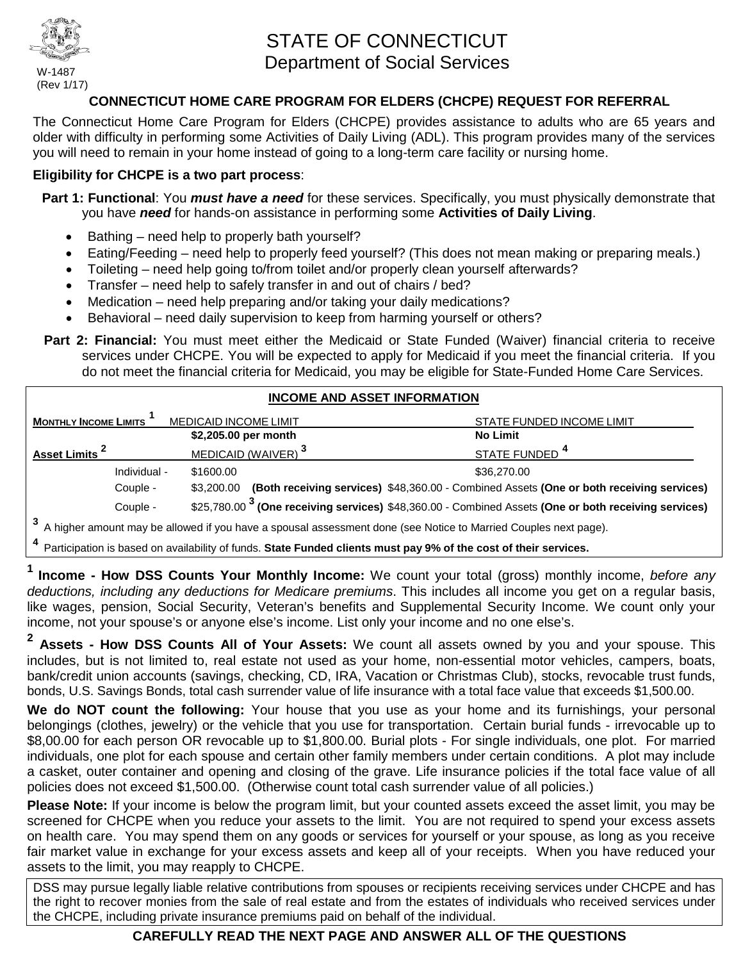

W-1487 (Rev 1/17)

# STATE OF CONNECTICUT Department of Social Services

#### **CONNECTICUT HOME CARE PROGRAM FOR ELDERS (CHCPE) REQUEST FOR REFERRAL**

The Connecticut Home Care Program for Elders (CHCPE) provides assistance to adults who are 65 years and older with difficulty in performing some Activities of Daily Living (ADL). This program provides many of the services you will need to remain in your home instead of going to a long-term care facility or nursing home.

#### **Eligibility for CHCPE is a two part process**:

- **Part 1: Functional**: You *must have a need* for these services. Specifically, you must physically demonstrate that you have *need* for hands-on assistance in performing some **Activities of Daily Living**.
	- Bathing need help to properly bath yourself?
	- Eating/Feeding need help to properly feed yourself? (This does not mean making or preparing meals.)
	- Toileting need help going to/from toilet and/or properly clean yourself afterwards?
	- Transfer need help to safely transfer in and out of chairs / bed?
	- Medication need help preparing and/or taking your daily medications?
	- Behavioral need daily supervision to keep from harming yourself or others?
- Part 2: Financial: You must meet either the Medicaid or State Funded (Waiver) financial criteria to receive services under CHCPE. You will be expected to apply for Medicaid if you meet the financial criteria. If you do not meet the financial criteria for Medicaid, you may be eligible for State-Funded Home Care Services.

#### **INCOME AND ASSET INFORMATION MONTHLY INCOME LIMITS IMEDICAID INCOME LIMIT STATE FUNDED INCOME LIMIT \$2,205.00 per month No Limit Asset Limits** <sup>2</sup> MEDICAID (WAIVER)<sup>3</sup> STATE FUNDED<sup>4</sup> Individual - \$1600.00 \$36,270.00 Couple - \$3,200.00 **(Both receiving services)** \$48,360.00 - Combined Assets **(One or both receiving services)** Couple - \$25,780.00 **3 (One receiving services)** \$48,360.00 - Combined Assets **(One or both receiving services) <sup>3</sup>** A higher amount may be allowed if you have a spousal assessment done (see Notice to Married Couples next page).

**<sup>4</sup>** Participation is based on availability of funds. **State Funded clients must pay 9% of the cost of their services.**

**1ncome - How DSS Counts Your Monthly Income:** We count your total (gross) monthly income, *before any deductions, including any deductions for Medicare premiums*. This includes all income you get on a regular basis, like wages, pension, Social Security, Veteran's benefits and Supplemental Security Income. We count only your income, not your spouse's or anyone else's income. List only your income and no one else's.

**<sup>2</sup> Assets - How DSS Counts All of Your Assets:** We count all assets owned by you and your spouse. This includes, but is not limited to, real estate not used as your home, non-essential motor vehicles, campers, boats, bank/credit union accounts (savings, checking, CD, IRA, Vacation or Christmas Club), stocks, revocable trust funds, bonds, U.S. Savings Bonds, total cash surrender value of life insurance with a total face value that exceeds \$1,500.00.

**We do NOT count the following:** Your house that you use as your home and its furnishings, your personal belongings (clothes, jewelry) or the vehicle that you use for transportation. Certain burial funds - irrevocable up to \$8,00.00 for each person OR revocable up to \$1,800.00. Burial plots - For single individuals, one plot. For married individuals, one plot for each spouse and certain other family members under certain conditions. A plot may include a casket, outer container and opening and closing of the grave. Life insurance policies if the total face value of all policies does not exceed \$1,500.00. (Otherwise count total cash surrender value of all policies.)

**Please Note:** If your income is below the program limit, but your counted assets exceed the asset limit, you may be screened for CHCPE when you reduce your assets to the limit. You are not required to spend your excess assets on health care. You may spend them on any goods or services for yourself or your spouse, as long as you receive fair market value in exchange for your excess assets and keep all of your receipts. When you have reduced your assets to the limit, you may reapply to CHCPE.

DSS may pursue legally liable relative contributions from spouses or recipients receiving services under CHCPE and has the right to recover monies from the sale of real estate and from the estates of individuals who received services under the CHCPE, including private insurance premiums paid on behalf of the individual.

#### **CAREFULLY READ THE NEXT PAGE AND ANSWER ALL OF THE QUESTIONS**